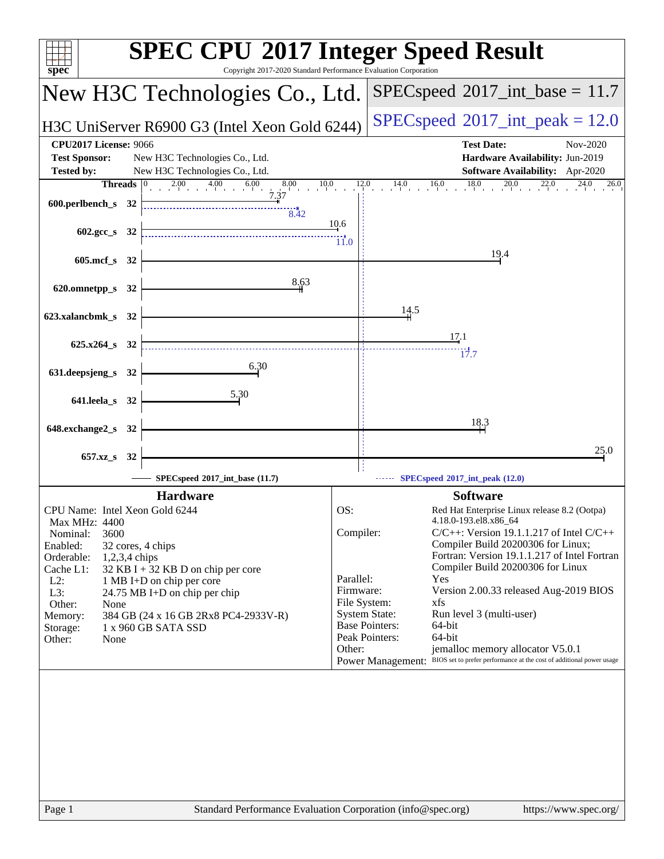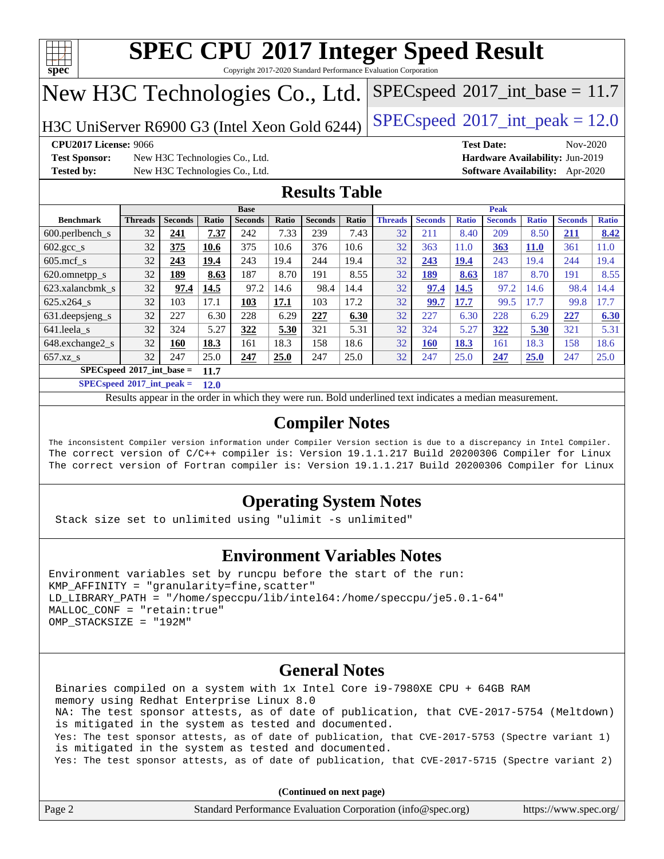

Copyright 2017-2020 Standard Performance Evaluation Corporation

# New H3C Technologies Co., Ltd.

H3C UniServer R6900 G3 (Intel Xeon Gold 6244) [SPECspeed](http://www.spec.org/auto/cpu2017/Docs/result-fields.html#SPECspeed2017intpeak)<sup>®</sup>[2017\\_int\\_peak = 1](http://www.spec.org/auto/cpu2017/Docs/result-fields.html#SPECspeed2017intpeak)2.0

 $SPECspeed^{\circ}2017\_int\_base = 11.7$  $SPECspeed^{\circ}2017\_int\_base = 11.7$ 

**[Test Sponsor:](http://www.spec.org/auto/cpu2017/Docs/result-fields.html#TestSponsor)** New H3C Technologies Co., Ltd. **[Hardware Availability:](http://www.spec.org/auto/cpu2017/Docs/result-fields.html#HardwareAvailability)** Jun-2019 **[Tested by:](http://www.spec.org/auto/cpu2017/Docs/result-fields.html#Testedby)** New H3C Technologies Co., Ltd. **[Software Availability:](http://www.spec.org/auto/cpu2017/Docs/result-fields.html#SoftwareAvailability)** Apr-2020

**[CPU2017 License:](http://www.spec.org/auto/cpu2017/Docs/result-fields.html#CPU2017License)** 9066 **[Test Date:](http://www.spec.org/auto/cpu2017/Docs/result-fields.html#TestDate)** Nov-2020

### **[Results Table](http://www.spec.org/auto/cpu2017/Docs/result-fields.html#ResultsTable)**

|                                     | <b>Base</b>    |                |       |                | <b>Peak</b> |                |       |                |                |              |                |              |                |              |
|-------------------------------------|----------------|----------------|-------|----------------|-------------|----------------|-------|----------------|----------------|--------------|----------------|--------------|----------------|--------------|
| <b>Benchmark</b>                    | <b>Threads</b> | <b>Seconds</b> | Ratio | <b>Seconds</b> | Ratio       | <b>Seconds</b> | Ratio | <b>Threads</b> | <b>Seconds</b> | <b>Ratio</b> | <b>Seconds</b> | <b>Ratio</b> | <b>Seconds</b> | <b>Ratio</b> |
| $600.$ perlbench $\mathsf{S}$       | 32             | 241            | 7.37  | 242            | 7.33        | 239            | 7.43  | 32             | 211            | 8.40         | 209            | 8.50         | 211            | 8.42         |
| $602.\text{gcc}\_\text{s}$          | 32             | 375            | 10.6  | 375            | 10.6        | 376            | 10.6  | 32             | 363            | 11.0         | 363            | <b>11.0</b>  | 361            | 11.0         |
| $605$ .mcf s                        | 32             | 243            | 19.4  | 243            | 19.4        | 244            | 19.4  | 32             | 243            | 19.4         | 243            | 19.4         | 244            | 19.4         |
| 620.omnetpp_s                       | 32             | 189            | 8.63  | 187            | 8.70        | 191            | 8.55  | 32             | 189            | 8.63         | 187            | 8.70         | 191            | 8.55         |
| 623.xalancbmk s                     | 32             | 97.4           | 14.5  | 97.2           | 14.6        | 98.4           | 14.4  | 32             | 97.4           | 14.5         | 97.2           | 14.6         | 98.4           | 14.4         |
| 625.x264 s                          | 32             | 103            | 17.1  | 103            | 17.1        | 103            | 17.2  | 32             | 99.7           | 17.7         | 99.5           | 17.7         | 99.8           | 17.7         |
| 631. deepsjeng_s                    | 32             | 227            | 6.30  | 228            | 6.29        | 227            | 6.30  | 32             | 227            | 6.30         | 228            | 6.29         | 227            | 6.30         |
| 641.leela s                         | 32             | 324            | 5.27  | 322            | 5.30        | 321            | 5.31  | 32             | 324            | 5.27         | 322            | 5.30         | 321            | 5.31         |
| 648.exchange2_s                     | 32             | 160            | 18.3  | 161            | 18.3        | 158            | 18.6  | 32             | <u>160</u>     | 18.3         | 161            | 18.3         | 158            | 18.6         |
| $657.xz$ <sub>_S</sub>              | 32             | 247            | 25.0  | 247            | 25.0        | 247            | 25.0  | 32             | 247            | 25.0         | 247            | 25.0         | 247            | 25.0         |
| $SPECspeed*2017$ int base =<br>11.7 |                |                |       |                |             |                |       |                |                |              |                |              |                |              |

**[SPECspeed](http://www.spec.org/auto/cpu2017/Docs/result-fields.html#SPECspeed2017intpeak)[2017\\_int\\_peak =](http://www.spec.org/auto/cpu2017/Docs/result-fields.html#SPECspeed2017intpeak) 12.0**

Results appear in the [order in which they were run.](http://www.spec.org/auto/cpu2017/Docs/result-fields.html#RunOrder) Bold underlined text [indicates a median measurement](http://www.spec.org/auto/cpu2017/Docs/result-fields.html#Median).

### **[Compiler Notes](http://www.spec.org/auto/cpu2017/Docs/result-fields.html#CompilerNotes)**

The inconsistent Compiler version information under Compiler Version section is due to a discrepancy in Intel Compiler. The correct version of C/C++ compiler is: Version 19.1.1.217 Build 20200306 Compiler for Linux The correct version of Fortran compiler is: Version 19.1.1.217 Build 20200306 Compiler for Linux

### **[Operating System Notes](http://www.spec.org/auto/cpu2017/Docs/result-fields.html#OperatingSystemNotes)**

Stack size set to unlimited using "ulimit -s unlimited"

#### **[Environment Variables Notes](http://www.spec.org/auto/cpu2017/Docs/result-fields.html#EnvironmentVariablesNotes)**

```
Environment variables set by runcpu before the start of the run:
KMP AFFINITY = "granularity=fine, scatter"
LD_LIBRARY_PATH = "/home/speccpu/lib/intel64:/home/speccpu/je5.0.1-64"
MALLOC_CONF = "retain:true"
OMP_STACKSIZE = "192M"
```
#### **[General Notes](http://www.spec.org/auto/cpu2017/Docs/result-fields.html#GeneralNotes)**

 Binaries compiled on a system with 1x Intel Core i9-7980XE CPU + 64GB RAM memory using Redhat Enterprise Linux 8.0 NA: The test sponsor attests, as of date of publication, that CVE-2017-5754 (Meltdown) is mitigated in the system as tested and documented. Yes: The test sponsor attests, as of date of publication, that CVE-2017-5753 (Spectre variant 1) is mitigated in the system as tested and documented. Yes: The test sponsor attests, as of date of publication, that CVE-2017-5715 (Spectre variant 2)

|        | $\blacksquare$                                              |                       |
|--------|-------------------------------------------------------------|-----------------------|
| Page 2 | Standard Performance Evaluation Corporation (info@spec.org) | https://www.spec.org/ |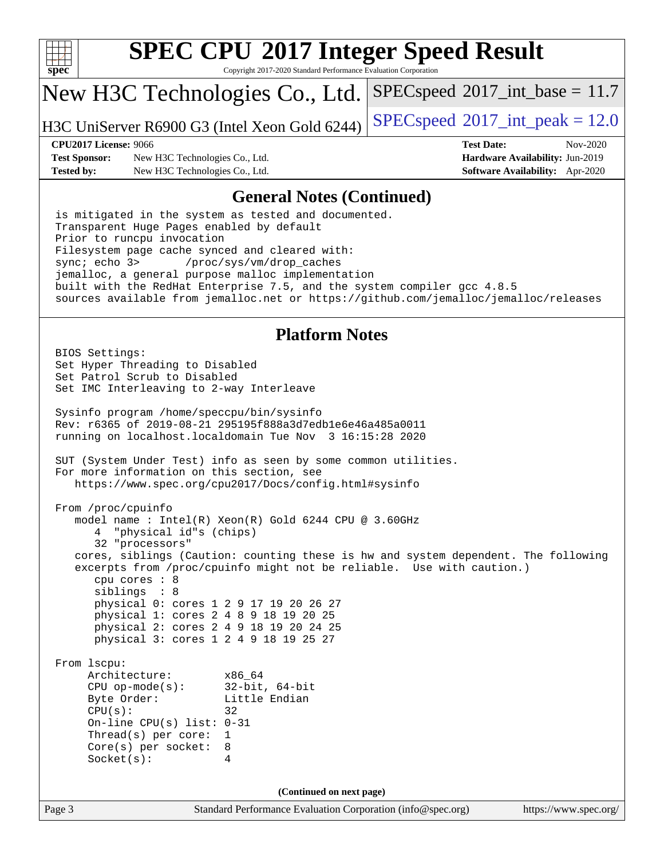

Copyright 2017-2020 Standard Performance Evaluation Corporation

## New H3C Technologies Co., Ltd.

H3C UniServer R6900 G3 (Intel Xeon Gold 6244) [SPECspeed](http://www.spec.org/auto/cpu2017/Docs/result-fields.html#SPECspeed2017intpeak)®[2017\\_int\\_peak = 1](http://www.spec.org/auto/cpu2017/Docs/result-fields.html#SPECspeed2017intpeak)2.0

 $SPECspeed^{\circ}2017\_int\_base = 11.7$  $SPECspeed^{\circ}2017\_int\_base = 11.7$ 

**[Test Sponsor:](http://www.spec.org/auto/cpu2017/Docs/result-fields.html#TestSponsor)** New H3C Technologies Co., Ltd. **[Hardware Availability:](http://www.spec.org/auto/cpu2017/Docs/result-fields.html#HardwareAvailability)** Jun-2019 **[Tested by:](http://www.spec.org/auto/cpu2017/Docs/result-fields.html#Testedby)** New H3C Technologies Co., Ltd. **[Software Availability:](http://www.spec.org/auto/cpu2017/Docs/result-fields.html#SoftwareAvailability)** Apr-2020

**[CPU2017 License:](http://www.spec.org/auto/cpu2017/Docs/result-fields.html#CPU2017License)** 9066 **[Test Date:](http://www.spec.org/auto/cpu2017/Docs/result-fields.html#TestDate)** Nov-2020

#### **[General Notes \(Continued\)](http://www.spec.org/auto/cpu2017/Docs/result-fields.html#GeneralNotes)**

 is mitigated in the system as tested and documented. Transparent Huge Pages enabled by default Prior to runcpu invocation Filesystem page cache synced and cleared with: sync; echo 3> /proc/sys/vm/drop\_caches jemalloc, a general purpose malloc implementation built with the RedHat Enterprise 7.5, and the system compiler gcc 4.8.5 sources available from jemalloc.net or <https://github.com/jemalloc/jemalloc/releases>

#### **[Platform Notes](http://www.spec.org/auto/cpu2017/Docs/result-fields.html#PlatformNotes)**

```
(info@spec.org)https://www.spec.org/
  BIOS Settings:
  Set Hyper Threading to Disabled
  Set Patrol Scrub to Disabled
  Set IMC Interleaving to 2-way Interleave
  Sysinfo program /home/speccpu/bin/sysinfo
  Rev: r6365 of 2019-08-21 295195f888a3d7edb1e6e46a485a0011
  running on localhost.localdomain Tue Nov 3 16:15:28 2020
  SUT (System Under Test) info as seen by some common utilities.
  For more information on this section, see
     https://www.spec.org/cpu2017/Docs/config.html#sysinfo
  From /proc/cpuinfo
     model name : Intel(R) Xeon(R) Gold 6244 CPU @ 3.60GHz
        4 "physical id"s (chips)
        32 "processors"
     cores, siblings (Caution: counting these is hw and system dependent. The following
     excerpts from /proc/cpuinfo might not be reliable. Use with caution.)
        cpu cores : 8
        siblings : 8
        physical 0: cores 1 2 9 17 19 20 26 27
        physical 1: cores 2 4 8 9 18 19 20 25
        physical 2: cores 2 4 9 18 19 20 24 25
        physical 3: cores 1 2 4 9 18 19 25 27
  From lscpu:
       Architecture: x86_64
       CPU op-mode(s): 32-bit, 64-bit
      Byte Order: Little Endian
      CPU(s): 32
       On-line CPU(s) list: 0-31
       Thread(s) per core: 1
       Core(s) per socket: 8
       Socket(s): 4
                                  (Continued on next page)
```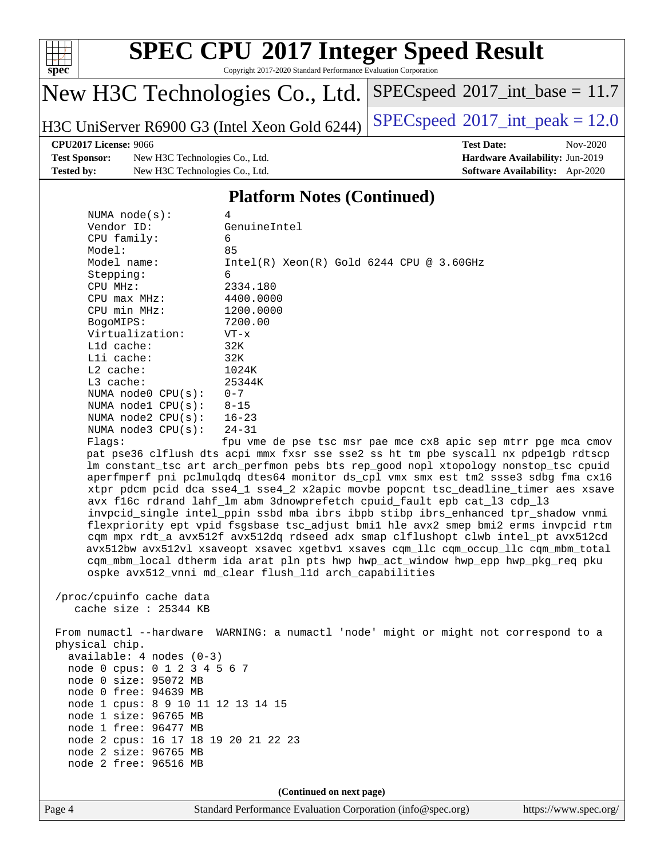

Copyright 2017-2020 Standard Performance Evaluation Corporation

# New H3C Technologies Co., Ltd.

H3C UniServer R6900 G3 (Intel Xeon Gold 6244) [SPECspeed](http://www.spec.org/auto/cpu2017/Docs/result-fields.html#SPECspeed2017intpeak)<sup>®</sup>[2017\\_int\\_peak = 1](http://www.spec.org/auto/cpu2017/Docs/result-fields.html#SPECspeed2017intpeak)2.0

 $SPECspeed^{\circ}2017\_int\_base = 11.7$  $SPECspeed^{\circ}2017\_int\_base = 11.7$ 

#### **[CPU2017 License:](http://www.spec.org/auto/cpu2017/Docs/result-fields.html#CPU2017License)** 9066 **[Test Date:](http://www.spec.org/auto/cpu2017/Docs/result-fields.html#TestDate)** Nov-2020

**[Test Sponsor:](http://www.spec.org/auto/cpu2017/Docs/result-fields.html#TestSponsor)** New H3C Technologies Co., Ltd. **[Hardware Availability:](http://www.spec.org/auto/cpu2017/Docs/result-fields.html#HardwareAvailability)** Jun-2019 **[Tested by:](http://www.spec.org/auto/cpu2017/Docs/result-fields.html#Testedby)** New H3C Technologies Co., Ltd. **[Software Availability:](http://www.spec.org/auto/cpu2017/Docs/result-fields.html#SoftwareAvailability)** Apr-2020

## **[Platform Notes \(Continued\)](http://www.spec.org/auto/cpu2017/Docs/result-fields.html#PlatformNotes)**

| NUMA $node(s):$        | 4                                                                                   |
|------------------------|-------------------------------------------------------------------------------------|
| Vendor ID:             | GenuineIntel                                                                        |
| $CPU$ family:          | 6                                                                                   |
| Model:                 | 85                                                                                  |
| Model name:            | $Intel(R)$ Xeon $(R)$ Gold 6244 CPU @ 3.60GHz                                       |
| Stepping:              | 6                                                                                   |
| CPU MHz:               | 2334.180                                                                            |
| $CPU$ max $MHz$ :      | 4400.0000                                                                           |
| CPU min MHz:           | 1200.0000                                                                           |
| BogoMIPS:              | 7200.00                                                                             |
| Virtualization:        | $VT - x$                                                                            |
| $L1d$ cache:           | 32K                                                                                 |
| Lli cache:             | 32K                                                                                 |
| $L2$ cache:            | 1024K                                                                               |
| $L3$ cache:            | 25344K                                                                              |
| NUMA $node0$ $CPU(s):$ | $0 - 7$                                                                             |
| NUMA $node1$ $CPU(s):$ | $8 - 15$                                                                            |
| NUMA $node2$ $CPU(s):$ | $16 - 23$                                                                           |
| NUMA $node3$ $CPU(s):$ | 24-31                                                                               |
| Flaqs:                 | fpu vme de pse tsc msr pae mce cx8 apic sep mtrr pge mca cmov                       |
|                        | pat pse36 clflush dts acpi mmx fxsr sse sse2 ss ht tm pbe syscall nx pdpe1qb rdtscp |
|                        | lm constant tsc art arch perfmon pebs bts rep good nopl xtopology nonstop tsc cpuid |

nx pdpe1gb rdtscp nonstop\_tsc cpuid aperfmperf pni pclmulqdq dtes64 monitor ds\_cpl vmx smx est tm2 ssse3 sdbg fma cx16 xtpr pdcm pcid dca sse4\_1 sse4\_2 x2apic movbe popcnt tsc\_deadline\_timer aes xsave avx f16c rdrand lahf\_lm abm 3dnowprefetch cpuid\_fault epb cat\_l3 cdp\_l3 invpcid\_single intel\_ppin ssbd mba ibrs ibpb stibp ibrs\_enhanced tpr\_shadow vnmi flexpriority ept vpid fsgsbase tsc\_adjust bmi1 hle avx2 smep bmi2 erms invpcid rtm cqm mpx rdt\_a avx512f avx512dq rdseed adx smap clflushopt clwb intel\_pt avx512cd avx512bw avx512vl xsaveopt xsavec xgetbv1 xsaves cqm\_llc cqm\_occup\_llc cqm\_mbm\_total cqm\_mbm\_local dtherm ida arat pln pts hwp hwp\_act\_window hwp\_epp hwp\_pkg\_req pku ospke avx512\_vnni md\_clear flush\_l1d arch\_capabilities

 /proc/cpuinfo cache data cache size : 25344 KB

 From numactl --hardware WARNING: a numactl 'node' might or might not correspond to a physical chip. available: 4 nodes (0-3) node 0 cpus: 0 1 2 3 4 5 6 7 node 0 size: 95072 MB node 0 free: 94639 MB node 1 cpus: 8 9 10 11 12 13 14 15 node 1 size: 96765 MB node 1 free: 96477 MB node 2 cpus: 16 17 18 19 20 21 22 23 node 2 size: 96765 MB node 2 free: 96516 MB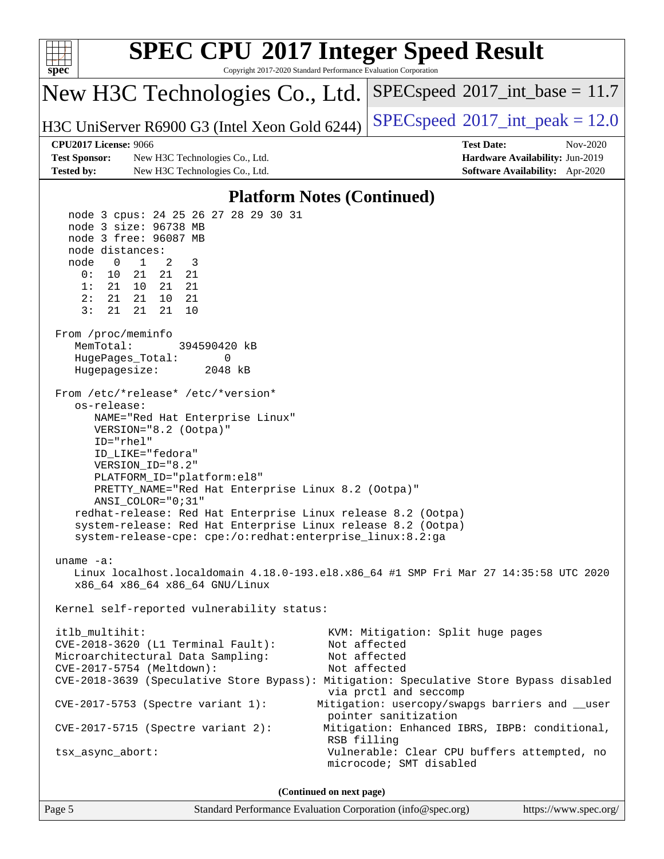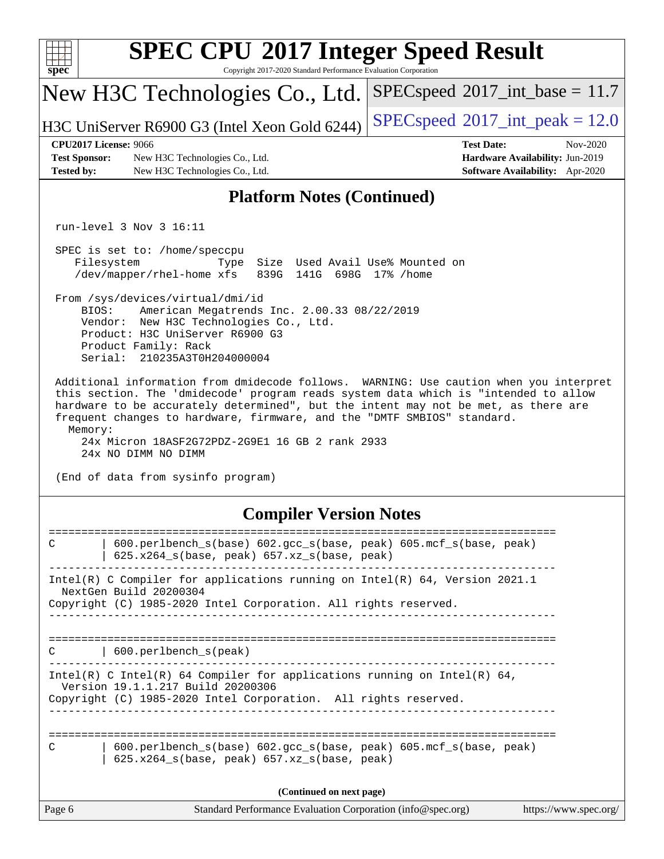| spec                                                                                                                                                                                                                                                                                                                                                                                                                                                                      | <b>SPEC CPU®2017 Integer Speed Result</b><br>Copyright 2017-2020 Standard Performance Evaluation Corporation                                                                                                                  |                                                                                                     |  |  |  |  |  |
|---------------------------------------------------------------------------------------------------------------------------------------------------------------------------------------------------------------------------------------------------------------------------------------------------------------------------------------------------------------------------------------------------------------------------------------------------------------------------|-------------------------------------------------------------------------------------------------------------------------------------------------------------------------------------------------------------------------------|-----------------------------------------------------------------------------------------------------|--|--|--|--|--|
|                                                                                                                                                                                                                                                                                                                                                                                                                                                                           | New H3C Technologies Co., Ltd.                                                                                                                                                                                                | $SPEC speed^{\circ}2017\_int\_base = 11.7$                                                          |  |  |  |  |  |
|                                                                                                                                                                                                                                                                                                                                                                                                                                                                           | H3C UniServer R6900 G3 (Intel Xeon Gold 6244)                                                                                                                                                                                 | $SPEC speed^{\circ}2017\_int\_peak = 12.0$                                                          |  |  |  |  |  |
| <b>CPU2017 License: 9066</b><br><b>Test Sponsor:</b><br><b>Tested by:</b>                                                                                                                                                                                                                                                                                                                                                                                                 | New H3C Technologies Co., Ltd.<br>New H3C Technologies Co., Ltd.                                                                                                                                                              | <b>Test Date:</b><br>Nov-2020<br>Hardware Availability: Jun-2019<br>Software Availability: Apr-2020 |  |  |  |  |  |
|                                                                                                                                                                                                                                                                                                                                                                                                                                                                           | <b>Platform Notes (Continued)</b>                                                                                                                                                                                             |                                                                                                     |  |  |  |  |  |
|                                                                                                                                                                                                                                                                                                                                                                                                                                                                           | run-level $3$ Nov $3$ 16:11                                                                                                                                                                                                   |                                                                                                     |  |  |  |  |  |
|                                                                                                                                                                                                                                                                                                                                                                                                                                                                           | SPEC is set to: /home/speccpu<br>Size Used Avail Use% Mounted on<br>Filesystem<br>Type<br>/dev/mapper/rhel-home xfs<br>839G 141G 698G 17% / home                                                                              |                                                                                                     |  |  |  |  |  |
|                                                                                                                                                                                                                                                                                                                                                                                                                                                                           | From /sys/devices/virtual/dmi/id<br>BIOS:<br>American Megatrends Inc. 2.00.33 08/22/2019<br>Vendor: New H3C Technologies Co., Ltd.<br>Product: H3C UniServer R6900 G3<br>Product Family: Rack<br>Serial: 210235A3T0H204000004 |                                                                                                     |  |  |  |  |  |
| Additional information from dmidecode follows. WARNING: Use caution when you interpret<br>this section. The 'dmidecode' program reads system data which is "intended to allow<br>hardware to be accurately determined", but the intent may not be met, as there are<br>frequent changes to hardware, firmware, and the "DMTF SMBIOS" standard.<br>Memory:<br>24x Micron 18ASF2G72PDZ-2G9E1 16 GB 2 rank 2933<br>24x NO DIMM NO DIMM<br>(End of data from sysinfo program) |                                                                                                                                                                                                                               |                                                                                                     |  |  |  |  |  |
| <b>Compiler Version Notes</b>                                                                                                                                                                                                                                                                                                                                                                                                                                             |                                                                                                                                                                                                                               |                                                                                                     |  |  |  |  |  |
| C                                                                                                                                                                                                                                                                                                                                                                                                                                                                         | 600.perlbench_s(base) 602.gcc_s(base, peak) 605.mcf_s(base, peak)<br>625.x264_s(base, peak) 657.xz_s(base, peak)                                                                                                              |                                                                                                     |  |  |  |  |  |
| Intel(R) C Compiler for applications running on $Intel(R) 64$ , Version 2021.1<br>NextGen Build 20200304                                                                                                                                                                                                                                                                                                                                                                  |                                                                                                                                                                                                                               |                                                                                                     |  |  |  |  |  |
| Copyright (C) 1985-2020 Intel Corporation. All rights reserved.                                                                                                                                                                                                                                                                                                                                                                                                           |                                                                                                                                                                                                                               |                                                                                                     |  |  |  |  |  |
| 600.perlbench_s(peak)<br>C.                                                                                                                                                                                                                                                                                                                                                                                                                                               |                                                                                                                                                                                                                               |                                                                                                     |  |  |  |  |  |
| Intel(R) C Intel(R) 64 Compiler for applications running on Intel(R) 64,<br>Version 19.1.1.217 Build 20200306<br>Copyright (C) 1985-2020 Intel Corporation. All rights reserved.<br>------------------                                                                                                                                                                                                                                                                    |                                                                                                                                                                                                                               |                                                                                                     |  |  |  |  |  |
| C                                                                                                                                                                                                                                                                                                                                                                                                                                                                         | 600.perlbench_s(base) 602.gcc_s(base, peak) 605.mcf_s(base, peak)<br>625.x264_s(base, peak) 657.xz_s(base, peak)                                                                                                              |                                                                                                     |  |  |  |  |  |
|                                                                                                                                                                                                                                                                                                                                                                                                                                                                           | (Continued on next page)                                                                                                                                                                                                      |                                                                                                     |  |  |  |  |  |
| Page 6                                                                                                                                                                                                                                                                                                                                                                                                                                                                    | Standard Performance Evaluation Corporation (info@spec.org)                                                                                                                                                                   | https://www.spec.org/                                                                               |  |  |  |  |  |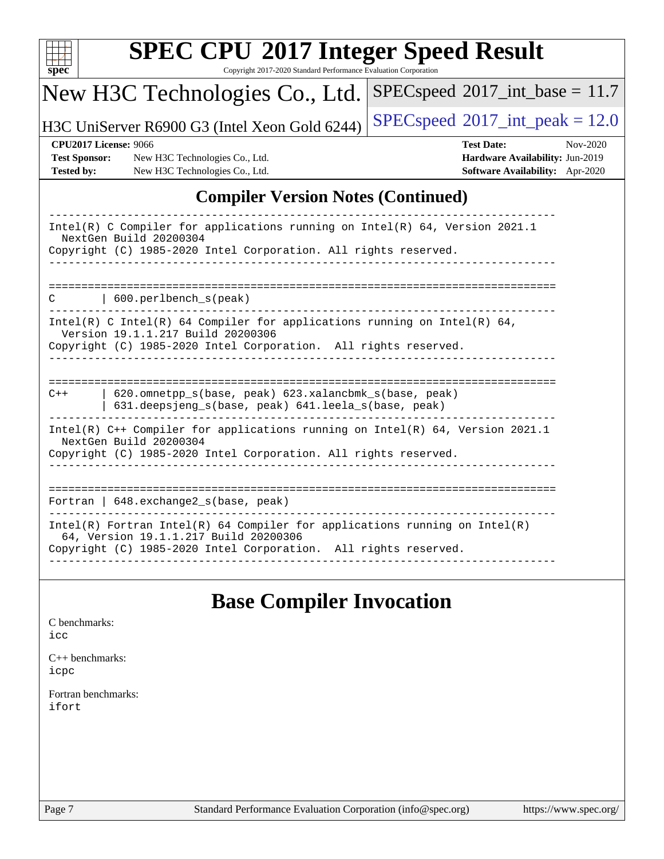| c<br>ť<br>L |  |  |  |  |  |  |
|-------------|--|--|--|--|--|--|

Copyright 2017-2020 Standard Performance Evaluation Corporation

# New H3C Technologies Co., Ltd.

H3C UniServer R6900 G3 (Intel Xeon Gold 6244) [SPECspeed](http://www.spec.org/auto/cpu2017/Docs/result-fields.html#SPECspeed2017intpeak)<sup>®</sup>[2017\\_int\\_peak = 1](http://www.spec.org/auto/cpu2017/Docs/result-fields.html#SPECspeed2017intpeak)2.0

 $SPEC speed$ <sup>®</sup> $2017$ \_int\_base = 11.7

**[Test Sponsor:](http://www.spec.org/auto/cpu2017/Docs/result-fields.html#TestSponsor)** New H3C Technologies Co., Ltd. **[Hardware Availability:](http://www.spec.org/auto/cpu2017/Docs/result-fields.html#HardwareAvailability)** Jun-2019 **[Tested by:](http://www.spec.org/auto/cpu2017/Docs/result-fields.html#Testedby)** New H3C Technologies Co., Ltd. **[Software Availability:](http://www.spec.org/auto/cpu2017/Docs/result-fields.html#SoftwareAvailability)** Apr-2020

**[CPU2017 License:](http://www.spec.org/auto/cpu2017/Docs/result-fields.html#CPU2017License)** 9066 **[Test Date:](http://www.spec.org/auto/cpu2017/Docs/result-fields.html#TestDate)** Nov-2020

### **[Compiler Version Notes \(Continued\)](http://www.spec.org/auto/cpu2017/Docs/result-fields.html#CompilerVersionNotes)**

| Intel(R) C Compiler for applications running on Intel(R) $64$ , Version 2021.1<br>NextGen Build 20200304<br>Copyright (C) 1985-2020 Intel Corporation. All rights reserved.            |
|----------------------------------------------------------------------------------------------------------------------------------------------------------------------------------------|
| 600.perlbench s(peak)<br>C                                                                                                                                                             |
| Intel(R) C Intel(R) 64 Compiler for applications running on Intel(R) 64,<br>Version 19.1.1.217 Build 20200306<br>Copyright (C) 1985-2020 Intel Corporation. All rights reserved.       |
| 620.omnetpp s(base, peak) 623.xalancbmk s(base, peak)<br>$C++$<br>631.deepsjeng_s(base, peak) 641.leela_s(base, peak)                                                                  |
| Intel(R) C++ Compiler for applications running on Intel(R) 64, Version 2021.1<br>NextGen Build 20200304<br>Copyright (C) 1985-2020 Intel Corporation. All rights reserved.             |
| Fortran   $648$ . exchange2 $s$ (base, peak)                                                                                                                                           |
| Intel(R) Fortran Intel(R) 64 Compiler for applications running on Intel(R)<br>64, Version 19.1.1.217 Build 20200306<br>Copyright (C) 1985-2020 Intel Corporation. All rights reserved. |

## **[Base Compiler Invocation](http://www.spec.org/auto/cpu2017/Docs/result-fields.html#BaseCompilerInvocation)**

#### [C benchmarks](http://www.spec.org/auto/cpu2017/Docs/result-fields.html#Cbenchmarks): [icc](http://www.spec.org/cpu2017/results/res2020q4/cpu2017-20201105-24337.flags.html#user_CCbase_intel_icc_66fc1ee009f7361af1fbd72ca7dcefbb700085f36577c54f309893dd4ec40d12360134090235512931783d35fd58c0460139e722d5067c5574d8eaf2b3e37e92)

[C++ benchmarks:](http://www.spec.org/auto/cpu2017/Docs/result-fields.html#CXXbenchmarks) [icpc](http://www.spec.org/cpu2017/results/res2020q4/cpu2017-20201105-24337.flags.html#user_CXXbase_intel_icpc_c510b6838c7f56d33e37e94d029a35b4a7bccf4766a728ee175e80a419847e808290a9b78be685c44ab727ea267ec2f070ec5dc83b407c0218cded6866a35d07)

[Fortran benchmarks](http://www.spec.org/auto/cpu2017/Docs/result-fields.html#Fortranbenchmarks): [ifort](http://www.spec.org/cpu2017/results/res2020q4/cpu2017-20201105-24337.flags.html#user_FCbase_intel_ifort_8111460550e3ca792625aed983ce982f94888b8b503583aa7ba2b8303487b4d8a21a13e7191a45c5fd58ff318f48f9492884d4413fa793fd88dd292cad7027ca)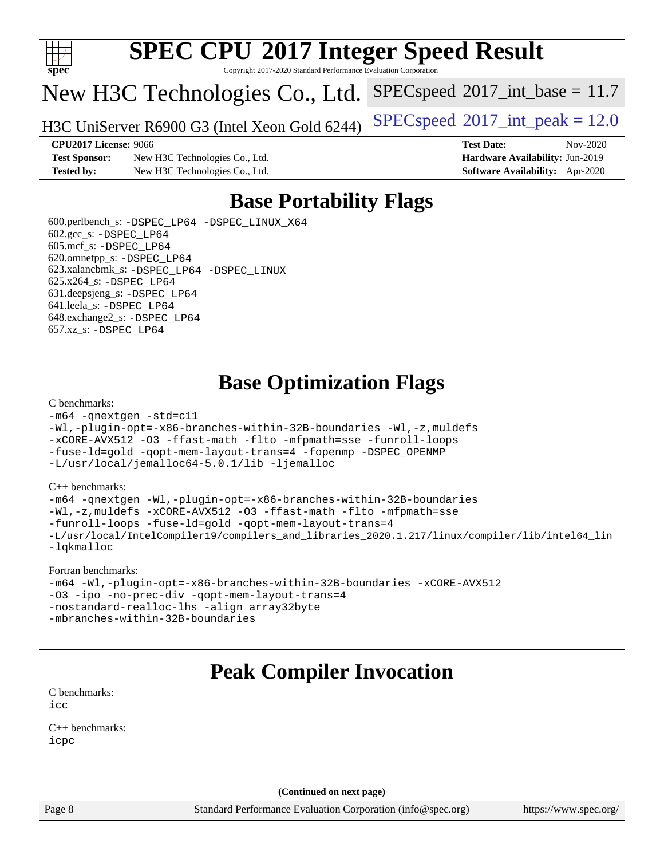

Copyright 2017-2020 Standard Performance Evaluation Corporation

# New H3C Technologies Co., Ltd.

H3C UniServer R6900 G3 (Intel Xeon Gold 6244) [SPECspeed](http://www.spec.org/auto/cpu2017/Docs/result-fields.html#SPECspeed2017intpeak)®[2017\\_int\\_peak = 1](http://www.spec.org/auto/cpu2017/Docs/result-fields.html#SPECspeed2017intpeak)2.0

 $SPECspeed^{\circ}2017\_int\_base = 11.7$  $SPECspeed^{\circ}2017\_int\_base = 11.7$ 

**[CPU2017 License:](http://www.spec.org/auto/cpu2017/Docs/result-fields.html#CPU2017License)** 9066 **[Test Date:](http://www.spec.org/auto/cpu2017/Docs/result-fields.html#TestDate)** Nov-2020

**[Test Sponsor:](http://www.spec.org/auto/cpu2017/Docs/result-fields.html#TestSponsor)** New H3C Technologies Co., Ltd. **[Hardware Availability:](http://www.spec.org/auto/cpu2017/Docs/result-fields.html#HardwareAvailability)** Jun-2019 **[Tested by:](http://www.spec.org/auto/cpu2017/Docs/result-fields.html#Testedby)** New H3C Technologies Co., Ltd. **[Software Availability:](http://www.spec.org/auto/cpu2017/Docs/result-fields.html#SoftwareAvailability)** Apr-2020

# **[Base Portability Flags](http://www.spec.org/auto/cpu2017/Docs/result-fields.html#BasePortabilityFlags)**

 600.perlbench\_s: [-DSPEC\\_LP64](http://www.spec.org/cpu2017/results/res2020q4/cpu2017-20201105-24337.flags.html#b600.perlbench_s_basePORTABILITY_DSPEC_LP64) [-DSPEC\\_LINUX\\_X64](http://www.spec.org/cpu2017/results/res2020q4/cpu2017-20201105-24337.flags.html#b600.perlbench_s_baseCPORTABILITY_DSPEC_LINUX_X64)  $602.\text{gcc}\$ s:  $-DSPEC$  LP64 605.mcf\_s: [-DSPEC\\_LP64](http://www.spec.org/cpu2017/results/res2020q4/cpu2017-20201105-24337.flags.html#suite_basePORTABILITY605_mcf_s_DSPEC_LP64) 620.omnetpp\_s: [-DSPEC\\_LP64](http://www.spec.org/cpu2017/results/res2020q4/cpu2017-20201105-24337.flags.html#suite_basePORTABILITY620_omnetpp_s_DSPEC_LP64) 623.xalancbmk\_s: [-DSPEC\\_LP64](http://www.spec.org/cpu2017/results/res2020q4/cpu2017-20201105-24337.flags.html#suite_basePORTABILITY623_xalancbmk_s_DSPEC_LP64) [-DSPEC\\_LINUX](http://www.spec.org/cpu2017/results/res2020q4/cpu2017-20201105-24337.flags.html#b623.xalancbmk_s_baseCXXPORTABILITY_DSPEC_LINUX) 625.x264\_s: [-DSPEC\\_LP64](http://www.spec.org/cpu2017/results/res2020q4/cpu2017-20201105-24337.flags.html#suite_basePORTABILITY625_x264_s_DSPEC_LP64) 631.deepsjeng\_s: [-DSPEC\\_LP64](http://www.spec.org/cpu2017/results/res2020q4/cpu2017-20201105-24337.flags.html#suite_basePORTABILITY631_deepsjeng_s_DSPEC_LP64) 641.leela\_s: [-DSPEC\\_LP64](http://www.spec.org/cpu2017/results/res2020q4/cpu2017-20201105-24337.flags.html#suite_basePORTABILITY641_leela_s_DSPEC_LP64) 648.exchange2\_s: [-DSPEC\\_LP64](http://www.spec.org/cpu2017/results/res2020q4/cpu2017-20201105-24337.flags.html#suite_basePORTABILITY648_exchange2_s_DSPEC_LP64) 657.xz\_s: [-DSPEC\\_LP64](http://www.spec.org/cpu2017/results/res2020q4/cpu2017-20201105-24337.flags.html#suite_basePORTABILITY657_xz_s_DSPEC_LP64)

# **[Base Optimization Flags](http://www.spec.org/auto/cpu2017/Docs/result-fields.html#BaseOptimizationFlags)**

#### [C benchmarks](http://www.spec.org/auto/cpu2017/Docs/result-fields.html#Cbenchmarks):

```
-m64 -qnextgen -std=c11
-Wl,-plugin-opt=-x86-branches-within-32B-boundaries -Wl,-z,muldefs
-xCORE-AVX512 -O3 -ffast-math -flto -mfpmath=sse -funroll-loops
-fuse-ld=gold -qopt-mem-layout-trans=4 -fopenmp -DSPEC_OPENMP
-L/usr/local/jemalloc64-5.0.1/lib -ljemalloc
```
#### [C++ benchmarks:](http://www.spec.org/auto/cpu2017/Docs/result-fields.html#CXXbenchmarks)

```
-m64 -qnextgen -Wl,-plugin-opt=-x86-branches-within-32B-boundaries
-Wl,-z,muldefs -xCORE-AVX512 -O3 -ffast-math -flto -mfpmath=sse
-funroll-loops -fuse-ld=gold -qopt-mem-layout-trans=4
-L/usr/local/IntelCompiler19/compilers_and_libraries_2020.1.217/linux/compiler/lib/intel64_lin
-lqkmalloc
```
#### [Fortran benchmarks:](http://www.spec.org/auto/cpu2017/Docs/result-fields.html#Fortranbenchmarks)

```
-m64 -Wl,-plugin-opt=-x86-branches-within-32B-boundaries -xCORE-AVX512
-O3 -ipo -no-prec-div -qopt-mem-layout-trans=4
-nostandard-realloc-lhs -align array32byte
-mbranches-within-32B-boundaries
```
# **[Peak Compiler Invocation](http://www.spec.org/auto/cpu2017/Docs/result-fields.html#PeakCompilerInvocation)**

[C benchmarks](http://www.spec.org/auto/cpu2017/Docs/result-fields.html#Cbenchmarks): [icc](http://www.spec.org/cpu2017/results/res2020q4/cpu2017-20201105-24337.flags.html#user_CCpeak_intel_icc_66fc1ee009f7361af1fbd72ca7dcefbb700085f36577c54f309893dd4ec40d12360134090235512931783d35fd58c0460139e722d5067c5574d8eaf2b3e37e92)

[C++ benchmarks:](http://www.spec.org/auto/cpu2017/Docs/result-fields.html#CXXbenchmarks) [icpc](http://www.spec.org/cpu2017/results/res2020q4/cpu2017-20201105-24337.flags.html#user_CXXpeak_intel_icpc_c510b6838c7f56d33e37e94d029a35b4a7bccf4766a728ee175e80a419847e808290a9b78be685c44ab727ea267ec2f070ec5dc83b407c0218cded6866a35d07)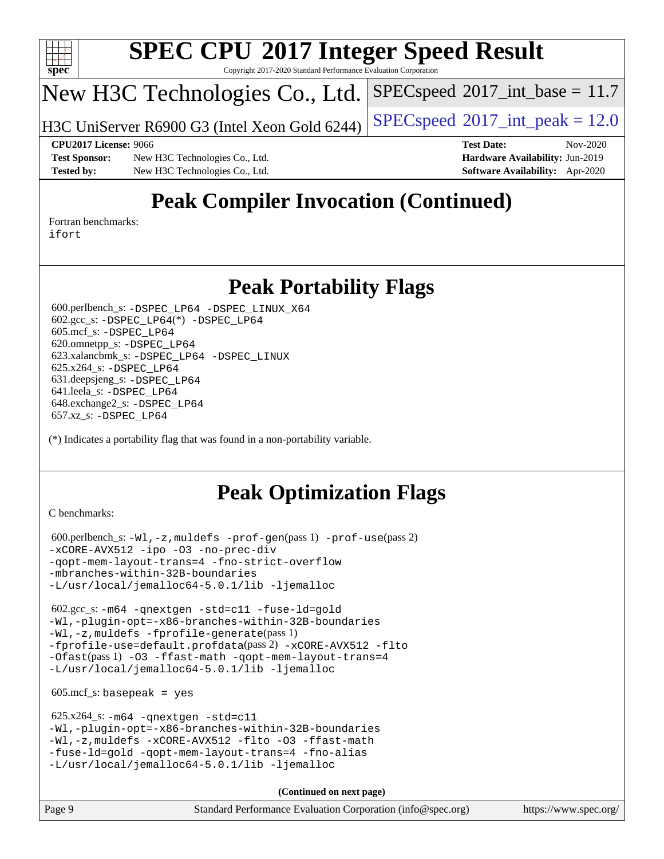

Copyright 2017-2020 Standard Performance Evaluation Corporation

# New H3C Technologies Co., Ltd.

H3C UniServer R6900 G3 (Intel Xeon Gold 6244) [SPECspeed](http://www.spec.org/auto/cpu2017/Docs/result-fields.html#SPECspeed2017intpeak)®[2017\\_int\\_peak = 1](http://www.spec.org/auto/cpu2017/Docs/result-fields.html#SPECspeed2017intpeak)2.0

 $SPECspeed^{\circledcirc}2017\_int\_base = 11.7$  $SPECspeed^{\circledcirc}2017\_int\_base = 11.7$ 

**[Test Sponsor:](http://www.spec.org/auto/cpu2017/Docs/result-fields.html#TestSponsor)** New H3C Technologies Co., Ltd. **[Hardware Availability:](http://www.spec.org/auto/cpu2017/Docs/result-fields.html#HardwareAvailability)** Jun-2019 **[Tested by:](http://www.spec.org/auto/cpu2017/Docs/result-fields.html#Testedby)** New H3C Technologies Co., Ltd. **[Software Availability:](http://www.spec.org/auto/cpu2017/Docs/result-fields.html#SoftwareAvailability)** Apr-2020

**[CPU2017 License:](http://www.spec.org/auto/cpu2017/Docs/result-fields.html#CPU2017License)** 9066 **[Test Date:](http://www.spec.org/auto/cpu2017/Docs/result-fields.html#TestDate)** Nov-2020

# **[Peak Compiler Invocation \(Continued\)](http://www.spec.org/auto/cpu2017/Docs/result-fields.html#PeakCompilerInvocation)**

[Fortran benchmarks](http://www.spec.org/auto/cpu2017/Docs/result-fields.html#Fortranbenchmarks): [ifort](http://www.spec.org/cpu2017/results/res2020q4/cpu2017-20201105-24337.flags.html#user_FCpeak_intel_ifort_8111460550e3ca792625aed983ce982f94888b8b503583aa7ba2b8303487b4d8a21a13e7191a45c5fd58ff318f48f9492884d4413fa793fd88dd292cad7027ca)

## **[Peak Portability Flags](http://www.spec.org/auto/cpu2017/Docs/result-fields.html#PeakPortabilityFlags)**

 600.perlbench\_s: [-DSPEC\\_LP64](http://www.spec.org/cpu2017/results/res2020q4/cpu2017-20201105-24337.flags.html#b600.perlbench_s_peakPORTABILITY_DSPEC_LP64) [-DSPEC\\_LINUX\\_X64](http://www.spec.org/cpu2017/results/res2020q4/cpu2017-20201105-24337.flags.html#b600.perlbench_s_peakCPORTABILITY_DSPEC_LINUX_X64) 602.gcc\_s: [-DSPEC\\_LP64](http://www.spec.org/cpu2017/results/res2020q4/cpu2017-20201105-24337.flags.html#suite_peakCCLD602_gcc_s_DSPEC_LP64)(\*) [-DSPEC\\_LP64](http://www.spec.org/cpu2017/results/res2020q4/cpu2017-20201105-24337.flags.html#suite_peakPORTABILITY602_gcc_s_DSPEC_LP64) 605.mcf\_s: [-DSPEC\\_LP64](http://www.spec.org/cpu2017/results/res2020q4/cpu2017-20201105-24337.flags.html#suite_peakPORTABILITY605_mcf_s_DSPEC_LP64) 620.omnetpp\_s: [-DSPEC\\_LP64](http://www.spec.org/cpu2017/results/res2020q4/cpu2017-20201105-24337.flags.html#suite_peakPORTABILITY620_omnetpp_s_DSPEC_LP64) 623.xalancbmk\_s: [-DSPEC\\_LP64](http://www.spec.org/cpu2017/results/res2020q4/cpu2017-20201105-24337.flags.html#suite_peakPORTABILITY623_xalancbmk_s_DSPEC_LP64) [-DSPEC\\_LINUX](http://www.spec.org/cpu2017/results/res2020q4/cpu2017-20201105-24337.flags.html#b623.xalancbmk_s_peakCXXPORTABILITY_DSPEC_LINUX) 625.x264\_s: [-DSPEC\\_LP64](http://www.spec.org/cpu2017/results/res2020q4/cpu2017-20201105-24337.flags.html#suite_peakPORTABILITY625_x264_s_DSPEC_LP64) 631.deepsjeng\_s: [-DSPEC\\_LP64](http://www.spec.org/cpu2017/results/res2020q4/cpu2017-20201105-24337.flags.html#suite_peakPORTABILITY631_deepsjeng_s_DSPEC_LP64) 641.leela\_s: [-DSPEC\\_LP64](http://www.spec.org/cpu2017/results/res2020q4/cpu2017-20201105-24337.flags.html#suite_peakPORTABILITY641_leela_s_DSPEC_LP64) 648.exchange2\_s: [-DSPEC\\_LP64](http://www.spec.org/cpu2017/results/res2020q4/cpu2017-20201105-24337.flags.html#suite_peakPORTABILITY648_exchange2_s_DSPEC_LP64) 657.xz\_s: [-DSPEC\\_LP64](http://www.spec.org/cpu2017/results/res2020q4/cpu2017-20201105-24337.flags.html#suite_peakPORTABILITY657_xz_s_DSPEC_LP64)

(\*) Indicates a portability flag that was found in a non-portability variable.

# **[Peak Optimization Flags](http://www.spec.org/auto/cpu2017/Docs/result-fields.html#PeakOptimizationFlags)**

[C benchmarks](http://www.spec.org/auto/cpu2017/Docs/result-fields.html#Cbenchmarks):

```
 600.perlbench_s: -Wl,-z,muldefs -prof-gen(pass 1) -prof-use(pass 2)
-xCORE-AVX512 -ipo -O3 -no-prec-div
-qopt-mem-layout-trans=4 -fno-strict-overflow
-mbranches-within-32B-boundaries
-L/usr/local/jemalloc64-5.0.1/lib -ljemalloc
```
 602.gcc\_s: [-m64](http://www.spec.org/cpu2017/results/res2020q4/cpu2017-20201105-24337.flags.html#user_peakCCLD602_gcc_s_m64-icc) [-qnextgen](http://www.spec.org/cpu2017/results/res2020q4/cpu2017-20201105-24337.flags.html#user_peakCCLD602_gcc_s_f-qnextgen) [-std=c11](http://www.spec.org/cpu2017/results/res2020q4/cpu2017-20201105-24337.flags.html#user_peakCCLD602_gcc_s_std-icc-std_0e1c27790398a4642dfca32ffe6c27b5796f9c2d2676156f2e42c9c44eaad0c049b1cdb667a270c34d979996257aeb8fc440bfb01818dbc9357bd9d174cb8524) [-fuse-ld=gold](http://www.spec.org/cpu2017/results/res2020q4/cpu2017-20201105-24337.flags.html#user_peakCCLD602_gcc_s_f-fuse-ld_920b3586e2b8c6e0748b9c84fa9b744736ba725a32cab14ad8f3d4ad28eecb2f59d1144823d2e17006539a88734fe1fc08fc3035f7676166309105a78aaabc32) [-Wl,-plugin-opt=-x86-branches-within-32B-boundaries](http://www.spec.org/cpu2017/results/res2020q4/cpu2017-20201105-24337.flags.html#user_peakLDFLAGS602_gcc_s_f-x86-branches-within-32B-boundaries_0098b4e4317ae60947b7b728078a624952a08ac37a3c797dfb4ffeb399e0c61a9dd0f2f44ce917e9361fb9076ccb15e7824594512dd315205382d84209e912f3) [-Wl,-z,muldefs](http://www.spec.org/cpu2017/results/res2020q4/cpu2017-20201105-24337.flags.html#user_peakEXTRA_LDFLAGS602_gcc_s_link_force_multiple1_b4cbdb97b34bdee9ceefcfe54f4c8ea74255f0b02a4b23e853cdb0e18eb4525ac79b5a88067c842dd0ee6996c24547a27a4b99331201badda8798ef8a743f577) [-fprofile-generate](http://www.spec.org/cpu2017/results/res2020q4/cpu2017-20201105-24337.flags.html#user_peakPASS1_CFLAGSPASS1_LDFLAGS602_gcc_s_fprofile-generate)(pass 1) [-fprofile-use=default.profdata](http://www.spec.org/cpu2017/results/res2020q4/cpu2017-20201105-24337.flags.html#user_peakPASS2_CFLAGSPASS2_LDFLAGS602_gcc_s_fprofile-use_56aeee182b92ec249f9670f17c9b8e7d83fe2d25538e35a2cf64c434b579a2235a8b8fc66ef5678d24461366bbab9d486c870d8a72905233fc08e43eefe3cd80)(pass 2) [-xCORE-AVX512](http://www.spec.org/cpu2017/results/res2020q4/cpu2017-20201105-24337.flags.html#user_peakCOPTIMIZEPASS1_CFLAGSPASS1_LDFLAGS602_gcc_s_f-xCORE-AVX512) [-flto](http://www.spec.org/cpu2017/results/res2020q4/cpu2017-20201105-24337.flags.html#user_peakCOPTIMIZEPASS1_CFLAGSPASS1_LDFLAGS602_gcc_s_f-flto) [-Ofast](http://www.spec.org/cpu2017/results/res2020q4/cpu2017-20201105-24337.flags.html#user_peakPASS1_CFLAGSPASS1_LDFLAGS602_gcc_s_f-Ofast)(pass 1) [-O3](http://www.spec.org/cpu2017/results/res2020q4/cpu2017-20201105-24337.flags.html#user_peakCOPTIMIZE602_gcc_s_f-O3) [-ffast-math](http://www.spec.org/cpu2017/results/res2020q4/cpu2017-20201105-24337.flags.html#user_peakCOPTIMIZE602_gcc_s_f-ffast-math) [-qopt-mem-layout-trans=4](http://www.spec.org/cpu2017/results/res2020q4/cpu2017-20201105-24337.flags.html#user_peakCOPTIMIZE602_gcc_s_f-qopt-mem-layout-trans_fa39e755916c150a61361b7846f310bcdf6f04e385ef281cadf3647acec3f0ae266d1a1d22d972a7087a248fd4e6ca390a3634700869573d231a252c784941a8) [-L/usr/local/jemalloc64-5.0.1/lib](http://www.spec.org/cpu2017/results/res2020q4/cpu2017-20201105-24337.flags.html#user_peakEXTRA_LIBS602_gcc_s_jemalloc_link_path64_1_cc289568b1a6c0fd3b62c91b824c27fcb5af5e8098e6ad028160d21144ef1b8aef3170d2acf0bee98a8da324cfe4f67d0a3d0c4cc4673d993d694dc2a0df248b) [-ljemalloc](http://www.spec.org/cpu2017/results/res2020q4/cpu2017-20201105-24337.flags.html#user_peakEXTRA_LIBS602_gcc_s_jemalloc_link_lib_d1249b907c500fa1c0672f44f562e3d0f79738ae9e3c4a9c376d49f265a04b9c99b167ecedbf6711b3085be911c67ff61f150a17b3472be731631ba4d0471706)

 $605.\text{mcf}\text{ s}:$  basepeak = yes

```
 625.x264_s: -m64 -qnextgen -std=c11
-Wl,-plugin-opt=-x86-branches-within-32B-boundaries
-Wl,-z,muldefs -xCORE-AVX512 -flto -O3 -ffast-math
-fuse-ld=gold -qopt-mem-layout-trans=4 -fno-alias
-L/usr/local/jemalloc64-5.0.1/lib -ljemalloc
```